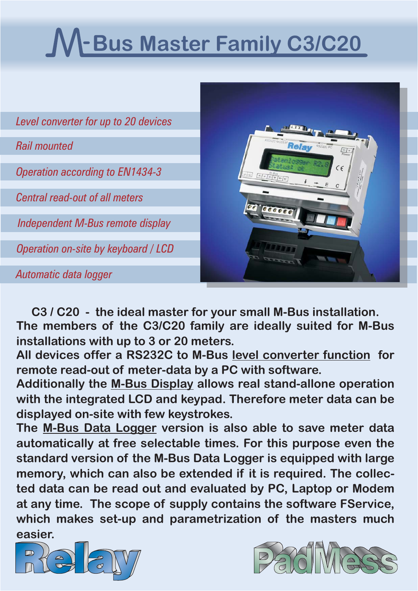# **-Bus Master Family C3/C20**

| Level converter for up to 20 devices   |                                                      |
|----------------------------------------|------------------------------------------------------|
| <b>Rail mounted</b>                    | <b>RS232C PC</b><br>$\frac{V*}{P_{OWpr}}$            |
| <b>Operation according to EN1434-3</b> | $\zeta$<br>$\int M+\int M-\int M+\int M+\int M-\int$ |
| <b>Central read-out of all meters</b>  |                                                      |
| Independent M-Bus remote display       |                                                      |
| Operation on-site by keyboard / LCD    |                                                      |
| Automatic data logger                  |                                                      |

**C3 / C20 - the ideal master for your small M-Bus installation. The members of the C3/C20 family are ideally suited for M-Bus installations with up to 3 or 20 meters.**

All devices offer a RS232C to M-Bus level converter function for **remote read-out of meter-data by a PC with software.**

**Additionally the M-Bus Display allows real stand-allone operation with the integrated LCD and keypad. Therefore meter data can be displayed on-site with few keystrokes.**

The <u>M-Bus Data Logger</u> version is also able to save meter data **automatically at free selectable times. For this purpose even the standard version of the M-Bus Data Logger is equipped with large memory, which can also be extended if it is required. The collected data can be read out and evaluated by PC, Laptop or Modem at any time. The scope of supply contains the software FService, which makes set-up and parametrization of the masters much easier.**